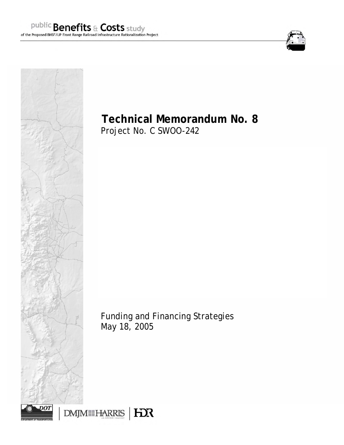



# **Technical Memorandum No. 8**

Project No. C SWOO-242

Funding and Financing Strategies May 18, 2005



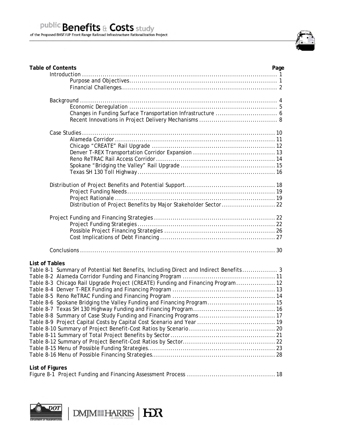

| <b>Table of Contents</b><br>Page                                                      |  |
|---------------------------------------------------------------------------------------|--|
|                                                                                       |  |
|                                                                                       |  |
|                                                                                       |  |
|                                                                                       |  |
|                                                                                       |  |
|                                                                                       |  |
|                                                                                       |  |
|                                                                                       |  |
|                                                                                       |  |
|                                                                                       |  |
|                                                                                       |  |
|                                                                                       |  |
|                                                                                       |  |
|                                                                                       |  |
|                                                                                       |  |
|                                                                                       |  |
|                                                                                       |  |
|                                                                                       |  |
|                                                                                       |  |
|                                                                                       |  |
|                                                                                       |  |
|                                                                                       |  |
|                                                                                       |  |
|                                                                                       |  |
| <b>List of Tables</b>                                                                 |  |
| Table 8-1 Summary of Potential Net Benefits, Including Direct and Indirect Benefits 3 |  |
|                                                                                       |  |
| Table 8-3 Chicago Rail Upgrade Project (CREATE) Funding and Financing Program  12     |  |
|                                                                                       |  |
|                                                                                       |  |
| Table 8-6 Spokane Bridging the Valley Funding and Financing Program 15                |  |
|                                                                                       |  |
|                                                                                       |  |
|                                                                                       |  |
|                                                                                       |  |
|                                                                                       |  |
|                                                                                       |  |
|                                                                                       |  |
|                                                                                       |  |
| List of Figures                                                                       |  |
|                                                                                       |  |

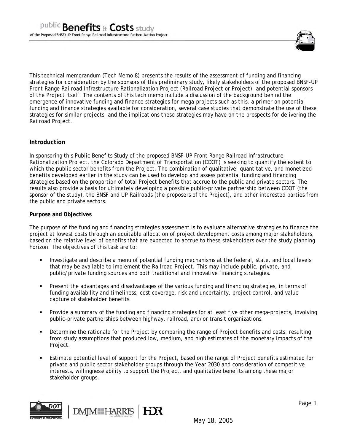

This technical memorandum (Tech Memo 8) presents the results of the assessment of funding and financing strategies for consideration by the sponsors of this preliminary study, likely stakeholders of the proposed BNSF-UP Front Range Railroad Infrastructure Rationalization Project (Railroad Project or Project), and potential sponsors of the Project itself. The contents of this tech memo include a discussion of the background behind the emergence of innovative funding and finance strategies for mega-projects such as this, a primer on potential funding and finance strategies available for consideration, several case studies that demonstrate the use of these strategies for similar projects, and the implications these strategies may have on the prospects for delivering the Railroad Project.

# **Introduction**

In sponsoring this Public Benefits Study of the proposed BNSF-UP Front Range Railroad Infrastructure Rationalization Project, the Colorado Department of Transportation (CDOT) is seeking to quantify the extent to which the public sector benefits from the Project. The combination of qualitative, quantitative, and monetized benefits developed earlier in the study can be used to develop and assess potential funding and financing strategies based on the proportion of total Project benefits that accrue to the public and private sectors. The results also provide a basis for ultimately developing a possible public-private partnership between CDOT (the sponsor of the study), the BNSF and UP Railroads (the proposers of the Project), and other interested parties from the public and private sectors.

## **Purpose and Objectives**

The purpose of the funding and financing strategies assessment is to evaluate alternative strategies to finance the project at lowest costs through an equitable allocation of project development costs among major stakeholders, based on the relative level of benefits that are expected to accrue to these stakeholders over the study planning horizon. The objectives of this task are to:

- Investigate and describe a menu of potential funding mechanisms at the federal, state, and local levels that may be available to implement the Railroad Project. This may include public, private, and public/private funding sources and both traditional and innovative financing strategies.
- Present the advantages and disadvantages of the various funding and financing strategies, in terms of funding availability and timeliness, cost coverage, risk and uncertainty, project control, and value capture of stakeholder benefits.
- Provide a summary of the funding and financing strategies for at least five other mega-projects, involving public-private partnerships between highway, railroad, and/or transit organizations.
- Determine the rationale for the Project by comparing the range of Project benefits and costs, resulting from study assumptions that produced low, medium, and high estimates of the monetary impacts of the Project.
- Estimate potential level of support for the Project, based on the range of Project benefits estimated for private and public sector stakeholder groups through the Year 2030 and consideration of competitive interests, willingness/ability to support the Project, and qualitative benefits among these major stakeholder groups.



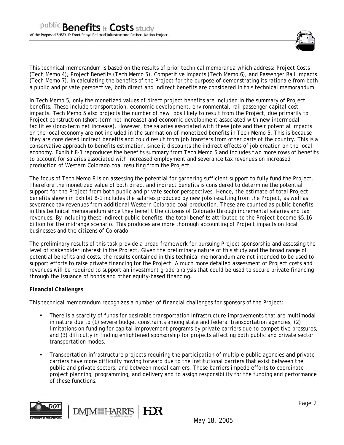

This technical memorandum is based on the results of prior technical memoranda which address: Project Costs (Tech Memo 4), Project Benefits (Tech Memo 5), Competitive Impacts (Tech Memo 6), and Passenger Rail Impacts (Tech Memo 7). In calculating the benefits of the Project for the purpose of demonstrating its rationale from both a public and private perspective, both direct and indirect benefits are considered in this technical memorandum.

In Tech Memo 5, only the monetized values of direct project benefits are included in the summary of Project benefits. These include transportation, economic development, environmental, rail passenger capital cost impacts. Tech Memo 5 also projects the number of new jobs likely to result from the Project, due primarily to Project construction (short-term net increase) and economic development associated with new intermodal facilities (long-term net increase). However, the salaries associated with these jobs and their potential impacts on the local economy are not included in the summation of monetized benefits in Tech Memo 5. This is because they are considered indirect benefits and could result from job transfers from other parts of the country. This is a conservative approach to benefits estimation, since it discounts the indirect effects of job creation on the local economy. Exhibit 8-1 reproduces the benefits summary from Tech Memo 5 and includes two more rows of benefits to account for salaries associated with increased employment and severance tax revenues on increased production of Western Colorado coal resulting from the Project.

The focus of Tech Memo 8 is on assessing the potential for garnering sufficient support to fully fund the Project. Therefore the monetized value of both direct and indirect benefits is considered to determine the potential support for the Project from both public and private sector perspectives. Hence, the estimate of total Project benefits shown in Exhibit 8-1 includes the salaries produced by new jobs resulting from the Project, as well as severance tax revenues from additional Western Colorado coal production. These are counted as public benefits in this technical memorandum since they benefit the citizens of Colorado through incremental salaries and tax revenues. By including these indirect public benefits, the total benefits attributed to the Project become \$5.16 billion for the midrange scenario. This produces are more thorough accounting of Project impacts on local businesses and the citizens of Colorado.

The preliminary results of this task provide a broad framework for pursuing Project sponsorship and assessing the level of stakeholder interest in the Project. Given the preliminary nature of this study and the broad range of potential benefits and costs, the results contained in this technical memorandum are not intended to be used to support efforts to raise private financing for the Project. A much more detailed assessment of Project costs and revenues will be required to support an investment grade analysis that could be used to secure private financing through the issuance of bonds and other equity-based financing.

## **Financial Challenges**

This technical memorandum recognizes a number of financial challenges for sponsors of the Project:

- There is a scarcity of funds for desirable transportation infrastructure improvements that are multimodal in nature due to (1) severe budget constraints among state and federal transportation agencies, (2) limitations on funding for capital improvement programs by private carriers due to competitive pressures, and (3) difficulty in finding enlightened sponsorship for projects affecting both public and private sector transportation modes.
- Transportation infrastructure projects requiring the participation of multiple public agencies and private carriers have more difficulty moving forward due to the institutional barriers that exist between the public and private sectors, and between modal carriers. These barriers impede efforts to coordinate project planning, programming, and delivery and to assign responsibility for the funding and performance of these functions.

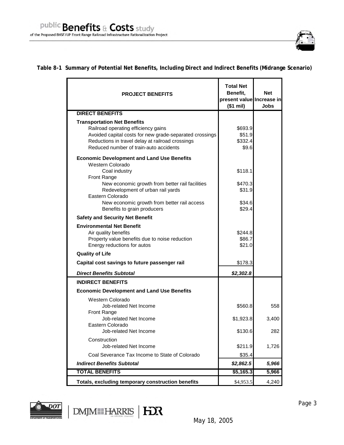

# **Table 8-1 Summary of Potential Net Benefits, Including Direct and Indirect Benefits (Midrange Scenario)**

| <b>PROJECT BENEFITS</b>                                                                                                                                                                                                            | <b>Total Net</b><br>Benefit.<br>present value Increase in<br>(\$1 mi) | <b>Net</b><br>Jobs |
|------------------------------------------------------------------------------------------------------------------------------------------------------------------------------------------------------------------------------------|-----------------------------------------------------------------------|--------------------|
| <b>DIRECT BENEFITS</b>                                                                                                                                                                                                             |                                                                       |                    |
| <b>Transportation Net Benefits</b><br>Railroad operating efficiency gains<br>Avoided capital costs for new grade-separated crossings<br>Reductions in travel delay at railroad crossings<br>Reduced number of train-auto accidents | \$693.9<br>\$51.9<br>\$332.4<br>\$9.6                                 |                    |
| <b>Economic Development and Land Use Benefits</b><br>Western Colorado<br>Coal industry                                                                                                                                             | \$118.1                                                               |                    |
| <b>Front Range</b><br>New economic growth from better rail facilities<br>Redevelopment of urban rail yards<br>Eastern Colorado                                                                                                     | \$470.3<br>\$31.9                                                     |                    |
| New economic growth from better rail access<br>Benefits to grain producers                                                                                                                                                         | \$34.6<br>\$29.4                                                      |                    |
| <b>Safety and Security Net Benefit</b>                                                                                                                                                                                             |                                                                       |                    |
| <b>Environmental Net Benefit</b><br>Air quality benefits<br>Property value benefits due to noise reduction<br>Energy reductions for autos                                                                                          | \$244.8<br>\$86.7<br>\$21.0                                           |                    |
| <b>Quality of Life</b>                                                                                                                                                                                                             |                                                                       |                    |
| Capital cost savings to future passenger rail                                                                                                                                                                                      | \$178.3                                                               |                    |
| <b>Direct Benefits Subtotal</b>                                                                                                                                                                                                    | \$2,302.8                                                             |                    |
| <b>INDIRECT BENEFITS</b>                                                                                                                                                                                                           |                                                                       |                    |
| <b>Economic Development and Land Use Benefits</b>                                                                                                                                                                                  |                                                                       |                    |
| Western Colorado<br>Job-related Net Income<br><b>Front Range</b>                                                                                                                                                                   | \$560.8                                                               | 558                |
| Job-related Net Income<br>Eastern Colorado                                                                                                                                                                                         | \$1,923.8                                                             | 3,400              |
| Job-related Net Income                                                                                                                                                                                                             | \$130.6                                                               | 282                |
| Construction<br>Job-related Net Income                                                                                                                                                                                             | \$211.9                                                               | 1,726              |
| Coal Severance Tax Income to State of Colorado                                                                                                                                                                                     | \$35.4                                                                |                    |
| <b>Indirect Benefits Subtotal</b>                                                                                                                                                                                                  | \$2,862.5                                                             | 5,966              |
| <b>TOTAL BENEFITS</b>                                                                                                                                                                                                              | \$5,165.3                                                             | 5,966              |
| Totals, excluding temporary construction benefits                                                                                                                                                                                  | \$4,953.5                                                             | 4,240              |



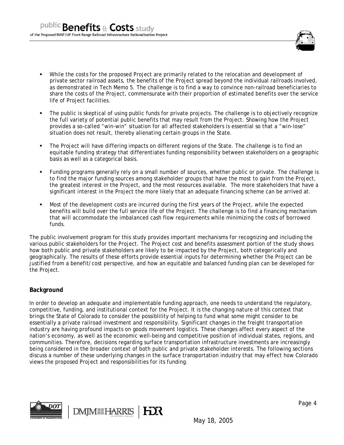

- While the costs for the proposed Project are primarily related to the relocation and development of private sector railroad assets, the benefits of the Project spread beyond the individual railroads involved, as demonstrated in Tech Memo 5. The challenge is to find a way to convince non-railroad beneficiaries to share the costs of the Project, commensurate with their proportion of estimated benefits over the service life of Project facilities.
- The public is skeptical of using public funds for private projects. The challenge is to objectively recognize the full variety of potential public benefits that may result from the Project. Showing how the Project provides a so-called "win-win" situation for all affected stakeholders is essential so that a "win-lose" situation does not result, thereby alienating certain groups in the State.
- The Project will have differing impacts on different regions of the State. The challenge is to find an equitable funding strategy that differentiates funding responsibility between stakeholders on a geographic basis as well as a categorical basis.
- Funding programs generally rely on a small number of sources, whether public or private. The challenge is to find the major funding sources among stakeholder groups that have the most to gain from the Project, the greatest interest in the Project, and the most resources available. The more stakeholders that have a significant interest in the Project the more likely that an adequate financing scheme can be arrived at.
- Most of the development costs are incurred during the first years of the Project, while the expected benefits will build over the full service life of the Project. The challenge is to find a financing mechanism that will accommodate the imbalanced cash flow requirements while minimizing the costs of borrowed funds.

The public involvement program for this study provides important mechanisms for recognizing and including the various public stakeholders for the Project. The Project cost and benefits assessment portion of the study shows how both public and private stakeholders are likely to be impacted by the Project, both categorically and geographically. The results of these efforts provide essential inputs for determining whether the Project can be justified from a benefit/cost perspective, and how an equitable and balanced funding plan can be developed for the Project.

# **Background**

In order to develop an adequate and implementable funding approach, one needs to understand the regulatory, competitive, funding, and institutional context for the Project. It is the changing nature of this context that brings the State of Colorado to consider the possiblility of helping to fund what some might consider to be essentially a private railroad investment and responsibility. Significant changes in the freight transportation industry are having profound impacts on goods movement logistics. These changes affect every aspect of the nation's economy, as well as the economic well-being and competitive position of individual states, regions, and communities. Therefore, decisions regarding surface transportation infrastructure investments are increasingly being considered in the broader context of both public and private stakeholder interests. The following sections discuss a number of these underlying changes in the surface transportation industry that may effect how Colorado views the proposed Project and responsibilities for its funding.

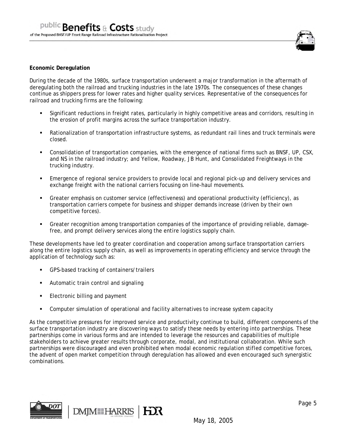

#### **Economic Deregulation**

During the decade of the 1980s, surface transportation underwent a major transformation in the aftermath of deregulating both the railroad and trucking industries in the late 1970s. The consequences of these changes continue as shippers press for lower rates and higher quality services. Representative of the consequences for railroad and trucking firms are the following:

- Significant reductions in freight rates, particularly in highly competitive areas and corridors, resulting in the erosion of profit margins across the surface transportation industry.
- Rationalization of transportation infrastructure systems, as redundant rail lines and truck terminals were closed.
- Consolidation of transportation companies, with the emergence of national firms such as BNSF, UP, CSX, and NS in the railroad industry; and Yellow, Roadway, JB Hunt, and Consolidated Freightways in the trucking industry.
- Emergence of regional service providers to provide local and regional pick-up and delivery services and exchange freight with the national carriers focusing on line-haul movements.
- Greater emphasis on customer service (effectiveness) and operational productivity (efficiency), as transportation carriers compete for business and shipper demands increase (driven by their own competitive forces).
- Greater recognition among transportation companies of the importance of providing reliable, damagefree, and prompt delivery services along the entire logistics supply chain.

These developments have led to greater coordination and cooperation among surface transportation carriers along the entire logistics supply chain, as well as improvements in operating efficiency and service through the application of technology such as:

- GPS-based tracking of containers/trailers
- **Automatic train control and signaling**
- **Electronic billing and payment**
- Computer simulation of operational and facility alternatives to increase system capacity

As the competitive pressures for improved service and productivity continue to build, different components of the surface transportation industry are discovering ways to satisfy these needs by entering into partnerships. These partnerships come in various forms and are intended to leverage the resources and capabilities of multiple stakeholders to achieve greater results through corporate, modal, and institutional collaboration. While such partnerships were discouraged and even prohibited when modal economic regulation stifled competitive forces, the advent of open market competition through deregulation has allowed and even encouraged such synergistic combinations.

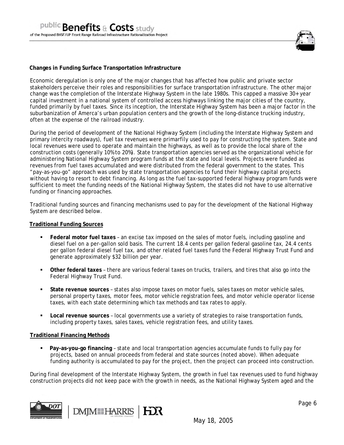

#### **Changes in Funding Surface Transportation Infrastructure**

Economic deregulation is only one of the major changes that has affected how public and private sector stakeholders perceive their roles and responsibilities for surface transportation infrastructure. The other major change was the completion of the Interstate Highway System in the late 1980s. This capped a massive 30+ year capital investment in a national system of controlled access highways linking the major cities of the country, funded primarily by fuel taxes. Since its inception, the Interstate Highway System has been a major factor in the suburbanization of Amerca's urban population centers and the growth of the long-distance trucking industry, often at the expense of the railroad industry.

During the period of development of the National Highway System (including the Interstate Highway System and primary intercity roadways), fuel tax revenues were primarfily used to pay for constructing the system. State and local revenues were used to operate and maintain the highways, as well as to provide the local share of the construction costs (generally 10% to 20%). State transportation agencies served as the organizational vehicle for administering National Highway System program funds at the state and local levels. Projects were funded as revenues from fuel taxes accumulated and were distributed from the federal government to the states. This "pay-as-you-go" approach was used by state transportation agencies to fund their highway capital projects without having to resort to debt financing. As long as the fuel tax-supported federal highway program funds were sufficient to meet the funding needs of the National Highway System, the states did not have to use alternative funding or financing approaches.

Traditional funding sources and financing mechanisms used to pay for the development of the National Highway System are described below.

#### **Traditional Funding Sources**

- **Federal motor fuel taxes** an excise tax imposed on the sales of motor fuels, including gasoline and diesel fuel on a per-gallon sold basis. The current 18.4 cents per gallon federal gasoline tax, 24.4 cents per gallon federal diesel fuel tax, and other related fuel taxes fund the Federal Highway Trust Fund and generate approximately \$32 billion per year.
- **Other federal taxes** there are various federal taxes on trucks, trailers, and tires that also go into the Federal Highway Trust Fund.
- **State revenue sources** states also impose taxes on motor fuels, sales taxes on motor vehicle sales, personal property taxes, motor fees, motor vehicle registration fees, and motor vehicle operator license taxes, with each state determining which tax methods and tax rates to apply.
- **Local revenue sources** local governments use a variety of strategies to raise transportation funds, including property taxes, sales taxes, vehicle registration fees, and utility taxes.

#### **Traditional Financing Methods**

 **Pay-as-you-go financing** – state and local transportation agencies accumulate funds to fully pay for projects, based on annual proceeds from federal and state sources (noted above). When adequate funding authority is accumulated to pay for the project, then the project can proceed into construction.

During final development of the Interstate Highway System, the growth in fuel tax revenues used to fund highway construction projects did not keep pace with the growth in needs, as the National Highway System aged and the

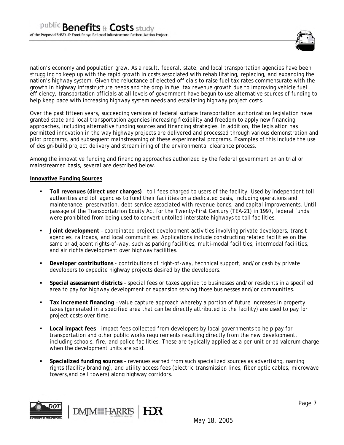

nation's economy and population grew. As a result, federal, state, and local transportation agencies have been struggling to keep up with the rapid growth in costs associated with rehabilitating, replacing, and expanding the nation's highway system. Given the reluctance of elected officials to raise fuel tax rates commensurate with the growth in highway infrastructure needs and the drop in fuel tax revenue growth due to improving vehicle fuel efficiency, transportation officials at all levels of government have begun to use alternative sources of funding to help keep pace with increasing highway system needs and escallating highway project costs.

Over the past fifteen years, succeeding versions of federal surface transportation authorization legislation have granted state and local transportation agencies increasing flexibility and freedom to apply new financing approaches, including alternative funding sources and financing strategies. In addition, the legislation has permitted innovation in the way highway projects are delivered and processed through various demonstration and pilot programs, and subsequent mainstreaming of these experimental programs. Examples of this include the use of design-build project delivery and streamlining of the environmental clearance process.

Among the innovative funding and financing approaches authorized by the federal government on an trial or mainstreamed basis, several are described below.

#### **Innovative Funding Sources**

- **Toll revenues (direct user charges)** toll fees charged to users of the facility. Used by independent toll authorities and toll agencies to fund their facilities on a dedicated basis, including operations and maintenance, preservation, debt service associated with revenue bonds, and capital improvements. Until passage of the Transportatrion Equity Act for the Twenty-First Century (TEA-21) in 1997, federal funds were prohibited from being used to convert untolled interstate highways to toll facilities.
- **Joint development** coordinated project development activities involving private developers, transit agencies, railroads, and local communities. Applications include constructing related facilities on the same or adjacent rights-of-way, such as parking facilities, multi-modal facilities, intermodal facilities, and air rights development over highway facilities.
- **Developer contributions** contributions of right-of-way, technical support, and/or cash by private developers to expedite highway projects desired by the developers.
- **Special assessment districts** special fees or taxes applied to businesses and/or residents in a specified area to pay for highway development or expansion serving those businesses and/or communities.
- **Tax increment financing** value capture approach whereby a portion of future increases in property taxes (generated in a specified area that can be directly attributed to the facility) are used to pay for project costs over time.
- **Local impact fees** impact fees collected from developers by local governments to help pay for transportation and other public works requirements resulting directly from the new development, including schools, fire, and police facilities. These are typically applied as a per-unit or ad valorum charge when the development units are sold.
- **Specialized funding sources** revenues earned from such specialized sources as advertising, naming rights (facility branding), and utility access fees (electric transmission lines, fiber optic cables, microwave towers,and cell towers) along highway corridors.

**IEOR** 



Page 7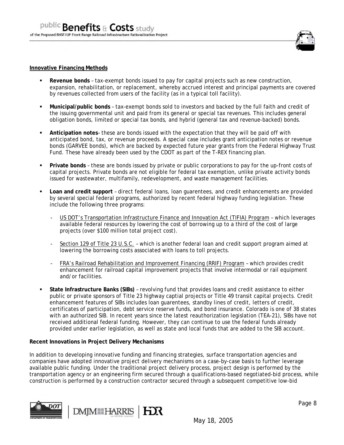

#### **Innovative Financing Methods**

- **Revenue bonds**  tax-exempt bonds issued to pay for capital projects such as new construction, expansion, rehabilitation, or replacement, whereby accrued interest and principal payments are covered by revenues collected from users of the facility (as in a typical toll facility).
- **Municipal/public bonds** tax-exempt bonds sold to investors and backed by the full faith and credit of the issuing governmental unit and paid from its general or special tax revenues. This includes general obligation bonds, limited or special tax bonds, and hybrid (general tax and revenue-backed) bonds.
- **Anticipation notes** these are bonds issued with the expectation that they will be paid off with anticipated bond, tax, or revenue proceeds. A special case includes grant anticipation notes or revenue bonds (GARVEE bonds), which are backed by expected future year grants from the Federal Highway Trust Fund. These have already been used by the CDOT as part of the T-REX financing plan.
- **Private bonds** these are bonds issued by private or public corporations to pay for the up-front costs of capital projects. Private bonds are not eligible for federal tax exemption, unlike private activity bonds issued for wastewater, multifamily, redevelopment, and waste management facilities.
- **Loan and credit support** direct federal loans, loan guarentees, and credit enhancements are provided by several special federal programs, authorized by recent federal highway funding legislation. These include the following three programs:
	- US DOT's Transportation Infrastructure Finance and Innovation Act (TIFIA) Program which leverages available federal resources by lowering the cost of borrowing up to a third of the cost of large projects (over \$100 million total project cost).
	- Section 129 of Title 23 U.S.C. which is another federal loan and credit support program aimed at lowering the borrowing costs associated with loans to toll projects.
	- FRA's Railroad Rehabilitation and Improvement Financing (RRIF) Program which provides credit enhancement for railroad capital improvement projects that involve intermodal or rail equipment and/or facilities.
- **State Infrastructure Banks (SIBs)** revolving fund that provides loans and credit assistance to either public or private sponsors of Title 23 highway captial projects or Title 49 transit capital projects. Credit enhancement features of SIBs includes loan guarentees, standby lines of credit, letters of credit, certificates of participation, debt service reserve funds, and bond insurance. Colorado is one of 38 states with an authorized SIB. In recent years since the latest reauthorization legislation (TEA-21), SIBs have not received additional federal funding. However, they can continue to use the federal funds already provided under earlier legislation, as well as state and local funds that are added to the SIB account.

#### **Recent Innovations in Project Delivery Mechanisms**

In addition to developing innovative funding and financing strategies, surface transportation agencies and companies have adopted innovative project delivery mechanisms on a case-by-case basis to further leverage available public funding. Under the traditional project delivery process, project design is performed by the transportation agency or an engineering firm secured through a qualifications-based negotiated-bid process, while construction is performed by a construction contractor secured through a subsequent competitive low-bid



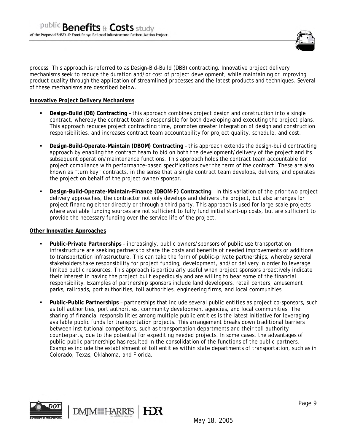

process. This approach is referred to as Design-Bid-Build (DBB) contracting. Innovative project delivery mechanisms seek to reduce the duration and/or cost of project development, while maintaining or improving product quality through the application of streamlined processes and the latest products and techniques. Several of these mechanisms are described below.

## **Innovative Project Delivery Mechanisms**

- **Design-Build (DB) Contracting**  this approach combines project design and construction into a single contract, whereby the contract team is responsible for both developing and executing the project plans. This approach reduces project contracting time, promotes greater integration of design and construction responsibilities, and increases contract team accountability for project quality, schedule, and cost.
- **Design-Build-Operate-Maintain (DBOM) Contracting this approach extends the design-build contracting =** approach by enabling the contract team to bid on both the development/delivery of the project and its subsequent operation/maintenance functions. This approach holds the contract team accountable for project compliance with performance-based specifications over the term of the contract. These are also known as "turn key" contracts, in the sense that a single contract team develops, delivers, and operates the project on behalf of the project owner/sponsor.
- **Design-Build-Operate-Maintain-Finance (DBOM-F) Contracting**  in this variation of the prior two project delivery approaches, the contractor not only develops and delivers the project, but also arranges for project financing either directly or through a third party. This approach is used for large-scale projects where available funding sources are not sufficient to fully fund initial start-up costs, but are sufficient to provide the necessary funding over the service life of the project.

## **Other Innovative Approaches**

- **Public-Private Partnerships** increasingly, public owners/sponsors of public use transportation infrastructure are seeking partners to share the costs and benefits of needed improvements or additions to transportation infrastructure. This can take the form of public-private partnerships, whereby several stakeholders take responsibility for project funding, development, and/or delivery in order to leverage limited public resources. This approach is particularly useful when project sponsors proactively indicate their interest in having the project built expediously and are willing to bear some of the financial responsibility. Examples of partnership sponsors include land developers, retail centers, amusement parks, railroads, port authorities, toll authorities, engineering firms, and local communities.
- **Public-Public Partnerships** partnerships that include several public entities as project co-sponsors, such as toll authorities, port authorities, community development agencies, and local communities. The sharing of financial responsibilities among multiple public entities is the latest initiative for leveraging available public funds for transportation projects. This arrangement breaks down traditional barriers between institutional competitors, such as transportation departments and their toll authority counterparts, due to the potential for expediting needed projects. In some cases, the advantages of public-public partnerships has resulted in the consolidation of the functions of the public partners. Examples include the establishment of toll entities within state departments of transportation, such as in Colorado, Texas, Oklahoma, and Florida.

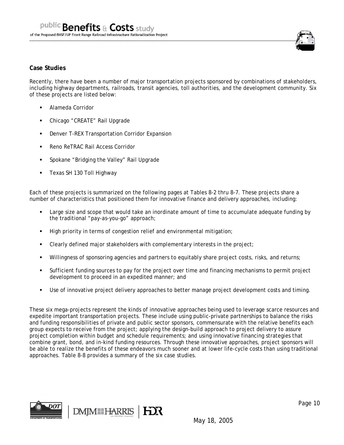

## **Case Studies**

Recently, there have been a number of major transportation projects sponsored by combinations of stakeholders, including highway departments, railroads, transit agencies, toll authorities, and the development community. Six of these projects are listed below:

- Alameda Corridor
- Chicago "CREATE" Rail Upgrade
- Denver T-REX Transportation Corridor Expansion
- **Reno ReTRAC Rail Access Corridor**
- Spokane "Bridging the Valley" Rail Upgrade
- Texas SH 130 Toll Highway

Each of these projects is summarized on the following pages at Tables 8-2 thru 8-7. These projects share a number of characteristics that positioned them for innovative finance and delivery approaches, including:

- Large size and scope that would take an inordinate amount of time to accumulate adequate funding by the traditional "pay-as-you-go" approach;
- High priority in terms of congestion relief and environmental mitigation;
- Clearly defined major stakeholders with complementary interests in the project;
- Willingness of sponsoring agencies and partners to equitably share project costs, risks, and returns;
- Sufficient funding sources to pay for the project over time and financing mechanisms to permit project development to proceed in an expedited manner; and
- Use of innovative project delivery approaches to better manage project development costs and timing.

These six mega-projects represent the kinds of innovative approaches being used to leverage scarce resources and expedite important transportation projects. These include using public-private partnerships to balance the risks and funding responsibilities of private and public sector sponsors, commensurate with the relative benefits each group expects to receive from the project; applying the design-build approach to project delivery to assure project completion within budget and schedule requirements; and using innovative financing strategies that combine grant, bond, and in-kind funding resources. Through these innovative approaches, project sponsors will be able to realize the benefits of these endeavors much sooner and at lower life-cycle costs than using traditional approaches. Table 8-8 provides a summary of the six case studies.

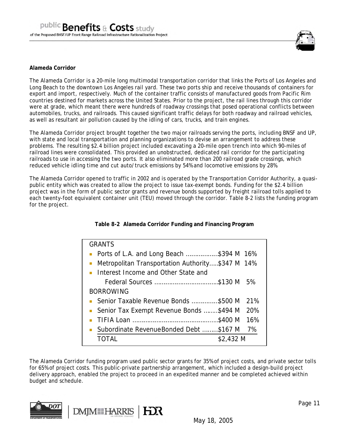

#### **Alameda Corridor**

The Alameda Corridor is a 20-mile long multimodal transportation corridor that links the Ports of Los Angeles and Long Beach to the downtown Los Angeles rail yard. These two ports ship and receive thousands of containers for export and import, respectively. Much of the container traffic consists of manufactured goods from Pacific Rim countries destined for markets across the United States. Prior to the project, the rail lines through this corridor were at grade, which meant there were hundreds of roadway crossings that posed operational conflicts between automobiles, trucks, and railroads. This caused significant traffic delays for both roadway and railroad vehicles, as well as resultant air pollution caused by the idling of cars, trucks, and train engines.

The Alameda Corridor project brought together the two major railroads serving the ports, including BNSF and UP, with state and local transportation and planning organizations to devise an arrangement to address these problems. The resulting \$2.4 billion project included excavating a 20-mile open trench into which 90-miles of railroad lines were consolidated. This provided an unobstructed, dedicated rail corridor for the participating railroads to use in accessing the two ports. It also eliminated more than 200 railroad grade crossings, which reduced vehicle idling time and cut auto/truck emissions by 54% and locomotive emissions by 28%.

The Alameda Corridor opened to traffic in 2002 and is operated by the Transportation Corridor Authority, a quasipublic entity which was created to allow the project to issue tax-exempt bonds. Funding for the \$2.4 billion project was in the form of public sector grants and revenue bonds supported by freight railroad tolls applied to each twenty-foot equivalent container unit (TEU) moved through the corridor. Table 8-2 lists the funding program for the project.

**Table 8-2 Alameda Corridor Funding and Financing Program** 

| <b>GRANTS</b>                                    |
|--------------------------------------------------|
| • Ports of L.A. and Long Beach \$394 M $16\%$    |
| Metropolitan Transportation Authority\$347 M 14% |
| • Interest Income and Other State and            |
| Federal Sources \$130 M<br>.5%                   |
| <b>BORROWING</b>                                 |
| Senior Taxable Revenue Bonds \$500 M<br>21%      |
| • Senior Tax Exempt Revenue Bonds \$494 M 20%    |
| 16%                                              |
| • Subordinate Revenue Bonded Debt \$167 M<br>7%  |
| \$2,432 M<br>TOTAL                               |

The Alameda Corridor funding program used public sector grants for 35% of project costs, and private sector tolls for 65% of project costs. This public-private partnership arrangement, which included a design-build project delivery approach, enabled the project to proceed in an expedited manner and be completed achieved within budget and schedule.

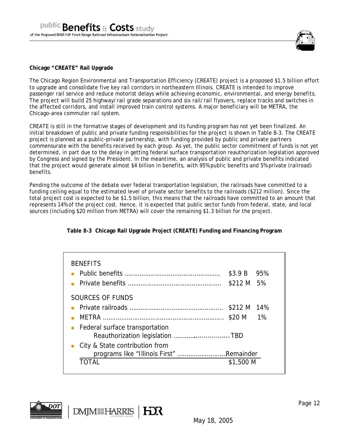

#### **Chicago "CREATE" Rail Upgrade**

The Chicago Region Environmental and Transportation Efficiency (CREATE) project is a proposed \$1.5 billion effort to upgrade and consolidate five key rail corridors in northeastern Illinois. CREATE is intended to improve passenger rail service and reduce motorist delays while achieving economic, environmental, and energy benefits. The project will build 25 highway/rail grade separations and six rail/rail flyovers, replace tracks and switches in the affected corridors, and install improved train control systems. A major beneficiary will be METRA, the Chicago-area commuter rail system.

CREATE is still in the formative stages of development and its funding program has not yet been finalized. An initial breakdown of public and private funding responsibilities for the project is shown in Table 8-3. The CREATE project is planned as a public-private partnership, with funding provided by public and private partners commensurate with the benefits received by each group. As yet, the public sector commitment of funds is not yet determined, in part due to the delay in getting federal surface transportation reauthorization legislation approved by Congress and signed by the President. In the meantime, an analysis of public and private benefits indicated that the project would generate almost \$4 billion in benefits, with 95% public benefits and 5% private (railroad) benefits.

Pending the outcome of the debate over federal transportation legislation, the railroads have committed to a funding ceiling equal to the estimated level of private sector benefits to the railroads (\$212 million). Since the total project cost is expected to be \$1.5 billion, this means that the railroads have committed to an amount that represents 14% of the project cost. Hence, it is expected that public sector funds from federal, state, and local sources (including \$20 million from METRA) will cover the remaining \$1.3 billion for the project.

|  | Table 8-3 Chicago Rail Upgrade Project (CREATE) Funding and Financing Program |  |  |  |
|--|-------------------------------------------------------------------------------|--|--|--|
|  |                                                                               |  |  |  |

| <b>BENEFITS</b>                          | $$3.9 B$ 95%<br>\$212 M 5% |  |
|------------------------------------------|----------------------------|--|
| SOURCES OF FUNDS                         |                            |  |
|                                          | \$212 M 14%                |  |
|                                          | $$20 M$ 1%                 |  |
| Federal surface transportation<br>п      |                            |  |
| City & State contribution from           |                            |  |
| programs like "Illinois First" Remainder | \$1,500 M                  |  |
|                                          |                            |  |

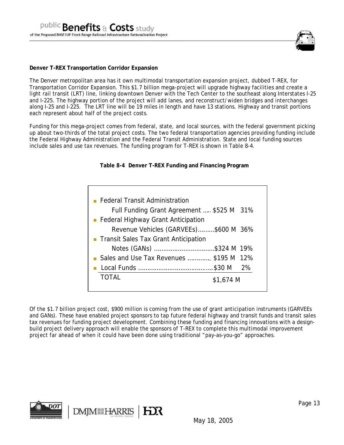

#### **Denver T-REX Transportation Corridor Expansion**

The Denver metropolitan area has it own multimodal transportation expansion project, dubbed T-REX, for Transportation Corridor Expansion. This \$1.7 billion mega-project will upgrade highway facilities and create a light rail transit (LRT) line, linking downtown Denver with the Tech Center to the southeast along Interstates I-25 and I-225. The highway portion of the project will add lanes, and reconstruct/widen bridges and interchanges along I-25 and I-225. The LRT line will be 19 miles in length and have 13 stations. Highway and transit portions each represent about half of the project costs.

Funding for this mega-project comes from federal, state, and local sources, with the federal government picking up about two-thirds of the total project costs. The two federal transportation agencies providing funding include the Federal Highway Administration and the Federal Transit Administration. State and local funding sources include sales and use tax revenues. The funding program for T-REX is shown in Table 8-4.

## **Table 8-4 Denver T-REX Funding and Financing Program**

| • Federal Transit Administration          |
|-------------------------------------------|
| Full Funding Grant Agreement  \$525 M 31% |
| • Federal Highway Grant Anticipation      |
| Revenue Vehicles (GARVEEs)\$600 M 36%     |
| • Transit Sales Tax Grant Anticipation    |
| Notes (GANs) \$324 M 19%                  |
| Sales and Use Tax Revenues  \$195 M 12%   |
|                                           |
| <b>TOTAL</b><br>\$1,674 M                 |
|                                           |

Of the \$1.7 billion project cost, \$900 million is coming from the use of grant anticipation instruments (GARVEEs and GANs). These have enabled project sponsors to tap future federal highway and transit funds and transit sales tax revenues for funding project development. Combining these funding and financing innovations with a designbuild project delivery approach will enable the sponsors of T-REX to complete this multimodal improvement project far ahead of when it could have been done using traditional "pay-as-you-go" approaches.

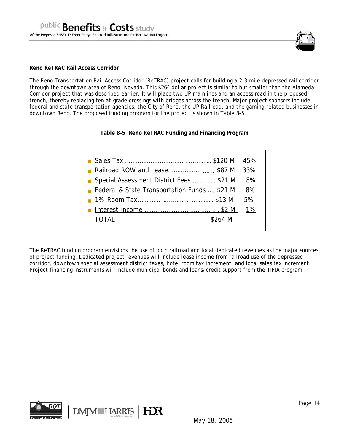

#### **Reno ReTRAC Rail Access Corridor**

The Reno Transportation Rail Access Corridor (ReTRAC) project calls for building a 2.3-mile depressed rail corridor through the downtown area of Reno, Nevada. This \$264 dollar project is similar to but smaller than the Alameda Corridor project that was described earlier. It will place two UP mainlines and an access road in the proposed trench, thereby replacing ten at-grade crossings with bridges across the trench. Major project sponsors include federal and state transportation agencies, the City of Reno, the UP Railroad, and the gaming-related businesses in downtown Reno. The proposed funding program for the project is shown in Table 8-5.

**Table 8-5 Reno ReTRAC Funding and Financing Program** 

| <b>Railroad ROW and Lease \$87 M 33%</b>               |    |
|--------------------------------------------------------|----|
| ■ Special Assessment District Fees \$21 M              | 8% |
| <b>Federal &amp; State Transportation Funds</b> \$21 M | 8% |
|                                                        | 5% |
|                                                        | 1% |
| TOTAL<br>\$264 M                                       |    |
|                                                        |    |

The ReTRAC funding program envisions the use of both railroad and local dedicated revenues as the major sources of project funding. Dedicated project revenues will include lease income from railroad use of the depressed corridor, downtown special assessment district taxes, hotel room tax increment, and local sales tax increment. Project financing instruments will include municipal bonds and loans/credit support from the TIFIA program.

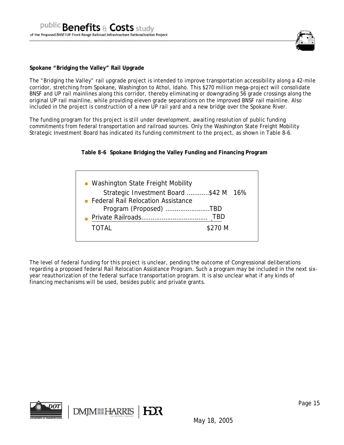

#### **Spokane "Bridging the Valley" Rail Upgrade**

The "Bridging the Valley" rail upgrade project is intended to improve transportation accessibility along a 42-mile corridor, stretching from Spokane, Washington to Athol, Idaho. This \$270 million mega-project will consolidate BNSF and UP rail mainlines along this corridor, thereby eliminating or downgrading 56 grade crossings along the original UP rail mainline, while providing eleven grade separations on the improved BNSF rail mainline. Also included in the project is construction of a new UP rail yard and a new bridge over the Spokane River.

The funding program for this project is still under development, awaiting resolution of public funding commitments from federal transportation and railroad sources. Only the Washington State Freight Mobility Strategic Investment Board has indicated its funding commitment to the project, as shown in Table 8-6.

## **Table 8-6 Spokane Bridging the Valley Funding and Financing Program**

| • Washington State Freight Mobility   |         |
|---------------------------------------|---------|
| Strategic Investment Board \$42 M 16% |         |
| • Federal Rail Relocation Assistance  |         |
| Program (Proposed) TBD                |         |
|                                       | TBD     |
| <b>TOTAL</b>                          | \$270 M |
|                                       |         |

The level of federal funding for this project is unclear, pending the outcome of Congressional deliberations regarding a proposed federal Rail Relocation Assistance Program. Such a program may be included in the next sixyear reauthorization of the federal surface transportation program. It is also unclear what if any kinds of financing mechanisms will be used, besides public and private grants.

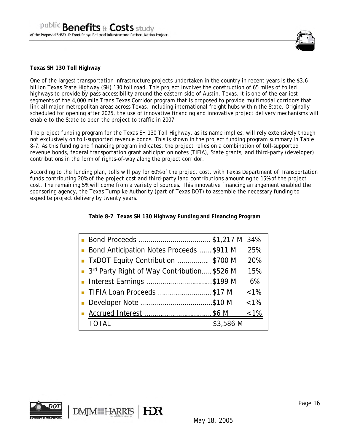

## **Texas SH 130 Toll Highway**

One of the largest transportation infrastructure projects undertaken in the country in recent years is the \$3.6 billion Texas State Highway (SH) 130 toll road. This project involves the construction of 65 miles of tolled highways to provide by-pass accessibility around the eastern side of Austin, Texas. It is one of the earliest segments of the 4,000 mile Trans Texas Corridor program that is proposed to provide multimodal corridors that link all major metropolitan areas across Texas, including international freight hubs within the State. Originally scheduled for opening after 2025, the use of innovative financing and innovative project delivery mechanisms will enable to the State to open the project to traffic in 2007.

The project funding program for the Texas SH 130 Toll Highway, as its name implies, will rely extensively though not exclusively on toll-supported revenue bonds. This is shown in the project funding program summary in Table 8-7. As this funding and financing program indicates, the project relies on a combination of toll-supported revenue bonds, federal transportation grant anticipation notes (TIFIA), State grants, and third-party (developer) contributions in the form of rights-of-way along the project corridor.

According to the funding plan, tolls will pay for 60% of the project cost, with Texas Department of Transportation funds contributing 20% of the project cost and third-party land contributions amounting to 15% of the project cost. The remaining 5% will come from a variety of sources. This innovative financing arrangement enabled the sponsoring agency, the Texas Turnpike Authority (part of Texas DOT) to assemble the necessary funding to expedite project delivery by twenty years.

**Table 8-7 Texas SH 130 Highway Funding and Financing Program** 

| ■ Bond Anticipation Notes Proceeds  \$911 M | 25%           |
|---------------------------------------------|---------------|
| TxDOT Equity Contribution \$700 M           | 20%           |
| 3rd Party Right of Way Contribution \$526 M | 15%           |
| ■ Interest Earnings \$199 M                 | 6%            |
| TIFIA Loan Proceeds \$17 M                  | $< 1\%$       |
| Developer Note \$10 M                       | $< 1\%$       |
|                                             | <u>&lt;1%</u> |
| <b>TOTAL</b><br>\$3,586 M                   |               |

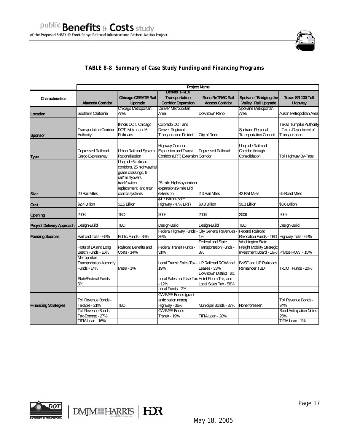

# **TABLE 8-8 Summary of Case Study Funding and Financing Programs**

|                                  | <b>Project Name</b>                                                  |                                                                                                                                                            |                                                                                              |                                                                 |                                                                                                          |                                                                           |
|----------------------------------|----------------------------------------------------------------------|------------------------------------------------------------------------------------------------------------------------------------------------------------|----------------------------------------------------------------------------------------------|-----------------------------------------------------------------|----------------------------------------------------------------------------------------------------------|---------------------------------------------------------------------------|
| Characteristics                  | <b>Alameda Corridor</b>                                              | <b>Chicago CREATE Rail</b><br>Upgrade                                                                                                                      | <b>Denver T-REX</b><br><b>Transportation</b><br><b>Corridor Expansion</b>                    | <b>Reno ReTRAC Rail</b><br><b>Access Corridor</b>               | Spokane "Bridging the<br>Valley" Rail Upgrade                                                            | Texas SR 130 Toll<br><b>Highway</b>                                       |
| Location                         | Southern California                                                  | <b>Chicago Metropolitan</b><br>Area                                                                                                                        | Denver Metropolitan<br>Area                                                                  | Downtown Reno                                                   | Spokane Metropolitan<br>Area                                                                             | Austin Metropolitan Area                                                  |
| <b>Sponsor</b>                   | <b>Transportation Corridor</b><br>Authority                          | Illinois DOT, Chicago<br>DOT, Metra, and 6<br>Railroads                                                                                                    | Colorado DOT and<br>Denver Regional<br><b>Transportation District</b>                        | City of Reno                                                    | Spokane Regional<br><b>Transportation Council</b>                                                        | <b>Texas Tumpike Authority</b><br>- Texas Department of<br>Transportation |
| <b>Type</b>                      | Depressed Railroad<br>Cargo Expressway                               | Urban Railroad System<br>Rationalization                                                                                                                   | <b>Highway Corridor</b><br><b>Expansion and Transit</b><br>Corridor (LRT) Extension Corridor | Depressed Railroad                                              | <b>Upgrade Railroad</b><br>Corridor through<br>Consolidation                                             | Toll Highway By-Pass                                                      |
| <b>Size</b>                      | 20 Rail Miles                                                        | Upgrade 6 railroad<br>corridors, 25 highway/rail<br>grade crossings, 6<br>rail/rail flyovers,<br>track/switch<br>replacement, and train<br>control systems | 25-mile Highway corridor<br>expansion19-mile LRT<br>extension                                | 2.3 Rail Miles                                                  | 42 Rail Miles                                                                                            | 65 Road Miles                                                             |
| Cost                             | \$2.4 Billion                                                        | \$1.5 Billion                                                                                                                                              | \$1.7 Billion (53%<br>Highway - 47% LRT)                                                     | \$0.3 Billion                                                   | \$0.3 Billion                                                                                            | \$3.6 Billion                                                             |
| Opening                          | 2003                                                                 | TBD                                                                                                                                                        | 2006                                                                                         | 2006                                                            | 2009                                                                                                     | 2007                                                                      |
| <b>Project Delivery Approach</b> | Design-Build                                                         | TBD                                                                                                                                                        | Design-Build                                                                                 | Design-Build                                                    | <b>TBD</b>                                                                                               | Design-Build                                                              |
| <b>Funding Sources</b>           | Railroad Tolls - 65%                                                 | Public Funds - 85%                                                                                                                                         | Federal Highway Funds<br>36%                                                                 | <b>City General Revenues</b><br>1%                              | <b>Federal Railroad</b><br>Relocation Funds - TBD Highway Tolls - 65%                                    |                                                                           |
|                                  | Ports of LA and Long<br>Beach Funds - 16%                            | Railroad Benefits and<br>Costs - 14%                                                                                                                       | <b>Federal Transit Funds -</b><br>31%                                                        | <b>Federal and State</b><br><b>Transportation Funds -</b><br>8% | <b>Washington State</b><br><b>Freight Mobility Strategic</b><br>Investment Board - 16% Private ROW - 15% |                                                                           |
|                                  | Metropolitan<br><b>Transportation Authority</b><br>Funds - 14%       | Metra - 1%                                                                                                                                                 | Local Transit Sales Tax - UP Railroad ROW and<br>19%                                         | Leases - 33%                                                    | <b>BNSF and UP Railroads</b><br>Remainder TBD                                                            | TxDOT Funds - 20%                                                         |
|                                  | State/Federal Funds -<br>5%                                          |                                                                                                                                                            | Local Sales and Use Tax Hotel Room Tax, and<br>12%                                           | Downtown District Tax,<br>Local Sales Tax - 58%                 |                                                                                                          |                                                                           |
|                                  |                                                                      |                                                                                                                                                            | Local Funds - 2%                                                                             |                                                                 |                                                                                                          |                                                                           |
| <b>Financing Strategies</b>      | Toll Revenue Bonds -<br>Taxable - 21%<br><b>Toll Revenue Bonds -</b> | <b>TBD</b>                                                                                                                                                 | <b>GARVEE Bonds (grant</b><br>anticipation notes)<br>Highway - 36%<br><b>GARVEE Bonds -</b>  | Municipal Bonds - 37%                                           | None foreseen                                                                                            | <b>Toll Revenue Bonds -</b><br>34%<br><b>Bond Anticipation Notes</b>      |
|                                  | Tax-Exempt - 27%<br>TIFIA Loan - 16%                                 |                                                                                                                                                            | Transit - 19%                                                                                | TIFIA Loan - 28%                                                |                                                                                                          | 25%<br>TIFIA Loan - 1%                                                    |



DMJMIHARRIS | HOR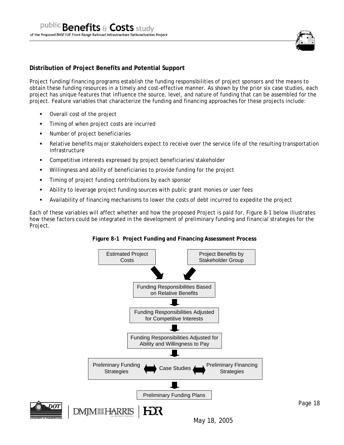

# **Distribution of Project Benefits and Potential Support**

Project funding/financing programs establish the funding responsibilities of project sponsors and the means to obtain these funding resources in a timely and cost-effective manner. As shown by the prior six case studies, each project has unique features that influence the source, level, and nature of funding that can be assembled for the project. Feature variables that characterize the funding and financing approaches for these projects include:

- Overall cost of the project
- Timing of when project costs are incurred
- Number of project beneficiaries
- Relative benefits major stakeholders expect to receive over the service life of the resulting transportation infrastructure
- Competitive interests expressed by project beneficiaries/stakeholder
- Willingness and ability of beneficiaries to provide funding for the project
- Timing of project funding contributions by each sponsor
- Ability to leverage project funding sources with public grant monies or user fees
- Availability of financing mechanisms to lower the costs of debt incurred to expedite the project

Each of these variables will affect whether and how the proposed Project is paid for. Figure 8-1 below illustrates how these factors could be integrated in the development of preliminary funding and financial strategies for the Project.



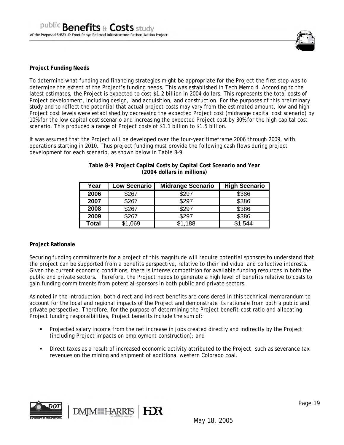

## **Project Funding Needs**

To determine what funding and financing strategies might be appropriate for the Project the first step was to determine the extent of the Project's funding needs. This was established in Tech Memo 4. According to the latest estimates, the Project is expected to cost \$1.2 billion in 2004 dollars. This represents the total costs of Project development, including design, land acquisition, and construction. For the purposes of this preliminary study and to reflect the potential that actual project costs may vary from the estimated amount, low and high Project cost levels were established by decreasing the expected Project cost (midrange capital cost scenario) by 10% for the low capital cost scenario and increasing the expected Project cost by 30% for the high capital cost scenario. This produced a range of Project costs of \$1.1 billion to \$1.5 billion.

It was assumed that the Project will be developed over the four-year timeframe 2006 through 2009, with operations starting in 2010. Thus project funding must provide the following cash flows during project development for each scenario, as shown below in Table 8-9.

| Year  | Low Scenario | <b>Midrange Scenario</b> | <b>High Scenario</b> |
|-------|--------------|--------------------------|----------------------|
| 2006  | \$267        | \$297                    | \$386                |
| 2007  | \$267        | \$297                    | \$386                |
| 2008  | \$267        | \$297                    | \$386                |
| 2009  | \$267        | \$297                    | \$386                |
| Total | \$1,069      | \$1,188                  | \$1,544              |

**Table 8-9 Project Capital Costs by Capital Cost Scenario and Year (2004 dollars in millions)** 

## **Project Rationale**

Securing funding commitments for a project of this magnitude will require potential sponsors to understand that the project can be supported from a benefits perspective, relative to their individual and collective interests. Given the current economic conditions, there is intense competition for available funding resources in both the public and private sectors. Therefore, the Project needs to generate a high level of benefits relative to costs to gain funding commitments from potential sponsors in both public and private sectors.

As noted in the introduction, both direct and indirect benefits are considered in this technical memorandum to account for the local and regional impacts of the Project and demonstrate its rationale from both a public and private perspective. Therefore, for the purpose of determining the Project benefit-cost ratio and allocating Project funding responsibilities, Project benefits include the sum of:

- Projected salary income from the net increase in jobs created directly and indirectly by the Project (including Project impacts on employment construction); and
- Direct taxes as a result of increased economic activity attributed to the Project, such as severance tax revenues on the mining and shipment of additional western Colorado coal.

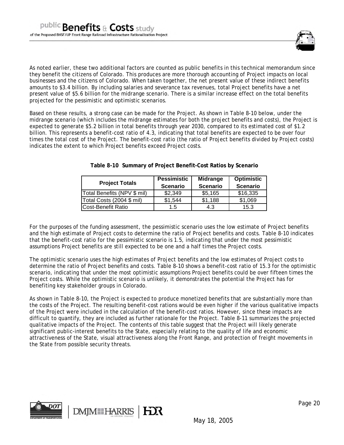

As noted earlier, these two additional factors are counted as public benefits in this technical memorandum since they benefit the citizens of Colorado. This produces are more thorough accounting of Project impacts on local businesses and the citizens of Colorado. When taken together, the net present value of these indirect benefits amounts to \$3.4 billion. By including salaries and severance tax revenues, total Project benefits have a net present value of \$5.6 billion for the midrange scenario. There is a similar increase effect on the total benefits projected for the pessimistic and optimistic scenarios.

Based on these results, a strong case can be made for the Project. As shown in Table 8-10 below, under the midrange scenario (which includes the midrange estimates for both the project benefits and costs), the Project is expected to generate \$5.2 billion in total benefits through year 2030, compared to its estimated cost of \$1.2 billion. This represents a benefit-cost ratio of 4.3, indicating that total benefits are expected to be over four times the total cost of the Project. The benefit-cost ratio (the ratio of Project benefits divided by Project costs) indicates the extent to which Project benefits exceed Project costs.

| <b>Project Totals</b>       | <b>Pessimistic</b><br><b>Scenario</b> | <b>Midrange</b><br><b>Scenario</b> | <b>Optimistic</b><br><b>Scenario</b> |
|-----------------------------|---------------------------------------|------------------------------------|--------------------------------------|
| Total Benefits (NPV \$ mil) | \$2,349                               | \$5,165                            | \$16,335                             |
| Total Costs (2004 \$ mil)   | \$1,544                               | \$1,188                            | \$1,069                              |
| Cost-Benefit Ratio          | 1.5                                   | 4.3                                | 15.3                                 |

**Table 8-10 Summary of Project Benefit-Cost Ratios by Scenario** 

For the purposes of the funding assessment, the pessimistic scenario uses the low estimate of Project benefits and the high estimate of Project costs to determine the ratio of Project benefits and costs. Table 8-10 indicates that the benefit-cost ratio for the pessimistic scenario is 1.5, indicating that under the most pessimistic assumptions Project benefits are still expected to be one and a half times the Project costs.

The optimistic scenario uses the high estimates of Project benefits and the low estimates of Project costs to determine the ratio of Project benefits and costs. Table 8-10 shows a benefit-cost ratio of 15.3 for the optimistic scenario, indicating that under the most optimistic assumptions Project benefits could be over fifteen times the Project costs. While the optimistic scenario is unlikely, it demonstrates the potential the Project has for benefiting key stakeholder groups in Colorado.

As shown in Table 8-10, the Project is expected to produce monetized benefits that are substantially more than the costs of the Project. The resulting benefit-cost rations would be even higher if the various qualitative impacts of the Project were included in the calculation of the benefit-cost ratios. However, since these impacts are difficult to quantify, they are included as further rationale for the Project. Table 8-11 summarizes the projected qualitative impacts of the Project. The contents of this table suggest that the Project will likely generate significant public-interest benefits to the State, especially relating to the quality of life and economic attractiveness of the State, visual attractiveness along the Front Range, and protection of freight movements in the State from possible security threats.

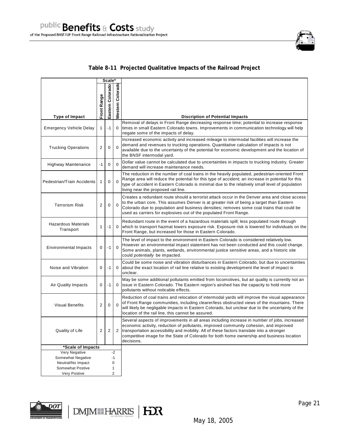

# **Table 8-11 Projected Qualitative Impacts of the Railroad Project**

| Scale*                                  |              |                         |                     |                                                                                                                                                                                                                                                                                                                                                                                               |
|-----------------------------------------|--------------|-------------------------|---------------------|-----------------------------------------------------------------------------------------------------------------------------------------------------------------------------------------------------------------------------------------------------------------------------------------------------------------------------------------------------------------------------------------------|
|                                         | Front Range  | Eastern Colorado        | Colorado<br>Nestern |                                                                                                                                                                                                                                                                                                                                                                                               |
| Type of Impact                          |              |                         |                     | <b>Discription of Potential Impacts</b>                                                                                                                                                                                                                                                                                                                                                       |
| <b>Emergency Vehicle Delay</b>          | $\mathbf{1}$ | $-1$                    | 0                   | Removal of delays in Front Range decreasing response time; potential to increase response<br>times in small Eastern Colorado towns. Improvements in communication technology will help<br>negate some of the impacts of delay.                                                                                                                                                                |
| <b>Trucking Operations</b>              | 2            | $\mathbf 0$             | $\Omega$            | Increased economic activity and increased mileage to intermodal facilities will increase the<br>demand and revenues to trucking operations. Quantitative calculation of impacts is not<br>available due to the uncertainty of the potential for economic development and the location of<br>the BNSF intermodal yard.                                                                         |
| Highway Maintenance                     | $-1$         | $\mathbf 0$             | $\Omega$            | Dollar value cannot be calculated due to uncertainties in impacts to trucking industry. Greater<br>demand will increase maintenance needs.                                                                                                                                                                                                                                                    |
| Pedestrian/Train Accidents              | 1            | $\mathbf 0$             | $\mathbf 0$         | The reduction in the number of coal trains in the heavily populated, pedestrian-oriented Front<br>Range area will reduce the potential for this type of accident; an increase in potential for this<br>type of accident in Eastern Colorado is minimal due to the relatively small level of population<br>living near the proposed rail line.                                                 |
| <b>Terrorism Risk</b>                   | 2            | $\mathbf 0$             | $\Omega$            | Creates a redundant route should a terrorist attack occur in the Denver area and close access<br>to the urban core. This assumes Denver is at greater risk of being a target than Eastern<br>Colorado due to population and business densities; removes some coal trains that could be<br>used as carriers for explosives out of the populated Front Range.                                   |
| <b>Hazardous Materials</b><br>Transport | 1            | $-1$                    | 0                   | Redundant route in the event of a hazardous materials spill; less populated route through<br>which to transport hazmat lowers exposure risk. Exposure risk is lowered for individuals on the<br>Front Range, but increased for those in Eastern Colorado.                                                                                                                                     |
| <b>Environmental Impacts</b>            | 0            | $-1$                    | $\Omega$            | The level of impact to the environment in Eastern Colorado is considered relatively low.<br>However an environmental impact statement has not been conducted and this could change.<br>Some animals, plants, wetlands, environmental justice sensitive areas, and a historic site<br>could potentially be impacted.                                                                           |
| Noise and Vibration                     | 0            | $-1$                    | 0                   | Could be some noise and vibration disturbances in Eastern Colorado, but due to uncertainties<br>about the exact location of rail line relative to existing development the level of impact is<br>unclear.                                                                                                                                                                                     |
| Air Quality Impacts                     | 0            | $-1$                    | 0                   | May be some additional pollutants emitted from locomotives, but air quality is currently not an<br>issue in Eastern Colorado. The Eastern region's airshed has the capacity to hold more<br>pollutants without noticable effects.                                                                                                                                                             |
| <b>Visual Benefits</b>                  | 2            | 0                       | $\Omega$            | Reduction of coal trains and relocation of intermodal yards will improve the visual appearance<br>of Front Range communities, including clearer/less obstructed views of the mountains. There<br>will likely be negligable impacts in Eastern Colorado, but unclear due to the uncertainty of the<br>location of the rail line, this cannot be assured.                                       |
| Quality of Life                         | 2            | $\overline{\mathbf{c}}$ | 2                   | Several aspects of improvements in all areas including increase in number of jobs, increased<br>economic activity, reduction of pollutants, improved community cohesion, and improved<br>transportation accessibility and mobility. All of these factors translate into a stronger<br>competitive image for the State of Colorado for both home ownership and business location<br>decisions. |
| *Scale of Impacts                       |              |                         |                     |                                                                                                                                                                                                                                                                                                                                                                                               |
| Very Negative                           |              |                         | $-2$                |                                                                                                                                                                                                                                                                                                                                                                                               |
| Somewhat Negative<br>Neutral/No Impact  |              |                         | $-1$<br>0           |                                                                                                                                                                                                                                                                                                                                                                                               |
| <b>Somewhat Postive</b>                 |              |                         | 1                   |                                                                                                                                                                                                                                                                                                                                                                                               |
| Very Postive                            |              |                         | 2                   |                                                                                                                                                                                                                                                                                                                                                                                               |

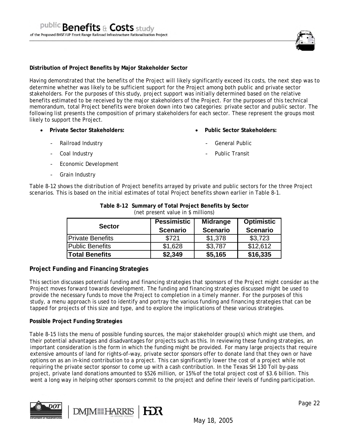

#### **Distribution of Project Benefits by Major Stakeholder Sector**

Having demonstrated that the benefits of the Project will likely significantly exceed its costs, the next step was to determine whether was likely to be sufficient support for the Project among both public and private sector stakeholders. For the purposes of this study, project support was initially determined based on the relative benefits estimated to be received by the major stakeholders of the Project. For the purposes of this technical memorandum, total Project benefits were broken down into two categories: private sector and public sector. The following list presents the composition of primary stakeholders for each sector. These represent the groups most likely to support the Project.

• **Private Sector Stakeholders:** 

• **Public Sector Stakeholders:** 

- Railroad Industry
- Coal Industry
- Economic Development
- Grain Industry
- - General Public
	- Public Transit

Table 8-12 shows the distribution of Project benefits arrayed by private and public sectors for the three Project scenarios. This is based on the initial estimates of total Project benefits shown earlier in Table 8-1.

| <b>Sector</b>           | <b>Pessimistic</b><br><b>Scenario</b> | <b>Midrange</b><br><b>Scenario</b> | <b>Optimistic</b><br><b>Scenario</b> |
|-------------------------|---------------------------------------|------------------------------------|--------------------------------------|
| <b>Private Benefits</b> | \$721                                 | \$1,378                            | \$3,723                              |
| <b>Public Benefits</b>  | \$1,628                               | \$3,787                            | \$12,612                             |
| <b>Total Benefits</b>   | \$2,349                               | \$5,165                            | \$16,335                             |

| Table 8-12 Summary of Total Project Benefits by Sector |
|--------------------------------------------------------|
| (net present value in \$ millions)                     |

# **Project Funding and Financing Strategies**

This section discusses potential funding and financing strategies that sponsors of the Project might consider as the Project moves forward towards development. The funding and financing strategies discussed might be used to provide the necessary funds to move the Project to completion in a timely manner. For the purposes of this study, a menu approach is used to identify and portray the various funding and financing strategies that can be tapped for projects of this size and type, and to explore the implications of these various strategies.

## **Possible Project Funding Strategies**

Table 8-15 lists the menu of possible funding sources, the major stakeholder group(s) which might use them, and their potential advantages and disadvantages for projects such as this. In reviewing these funding strategies, an important consideration is the form in which the funding might be provided. For many large projects that require extensive amounts of land for rights-of-way, private sector sponsors offer to donate land that they own or have options on as an in-kind contribution to a project. This can significantly lower the cost of a project while not requiring the private sector sponsor to come up with a cash contribution. In the Texas SH 130 Toll by-pass project, private land donations amounted to \$526 million, or 15% of the total project cost of \$3.6 billion. This went a long way in helping other sponsors commit to the project and define their levels of funding participation.

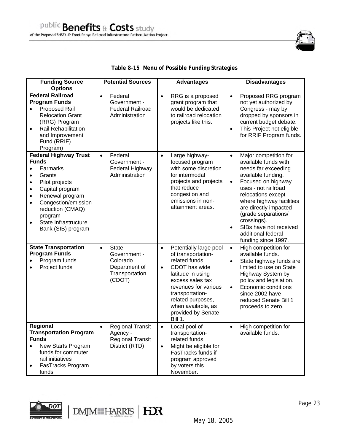

| <b>Funding Source</b><br><b>Options</b>                                                                                                                                                                                                                                                                                   | <b>Potential Sources</b>                                                                           | <b>Advantages</b>                                                                                                                                                                                                                                                         | <b>Disadvantages</b>                                                                                                                                                                                                                                                                                                                                                   |
|---------------------------------------------------------------------------------------------------------------------------------------------------------------------------------------------------------------------------------------------------------------------------------------------------------------------------|----------------------------------------------------------------------------------------------------|---------------------------------------------------------------------------------------------------------------------------------------------------------------------------------------------------------------------------------------------------------------------------|------------------------------------------------------------------------------------------------------------------------------------------------------------------------------------------------------------------------------------------------------------------------------------------------------------------------------------------------------------------------|
| <b>Federal Railroad</b><br><b>Program Funds</b><br>Proposed Rail<br><b>Relocation Grant</b><br>(RRG) Program<br>Rail Rehabilitation<br>and Improvement<br>Fund (RRIF)<br>Program)                                                                                                                                         | Federal<br>$\bullet$<br>Government -<br><b>Federal Railroad</b><br>Administration                  | $\bullet$<br>RRG is a proposed<br>grant program that<br>would be dedicated<br>to railroad relocation<br>projects like this.                                                                                                                                               | Proposed RRG program<br>$\bullet$<br>not yet authorized by<br>Congress - may by<br>dropped by sponsors in<br>current budget debate.<br>This Project not eligible<br>$\bullet$<br>for RRIF Program funds.                                                                                                                                                               |
| <b>Federal Highway Trust</b><br><b>Funds</b><br>Earmarks<br>$\bullet$<br>Grants<br>$\bullet$<br>Pilot projects<br>$\bullet$<br>Capital program<br>$\bullet$<br>Renewal program<br>$\bullet$<br>Congestion/emission<br>$\bullet$<br>reduction (CMAQ)<br>program<br>State Infrastructure<br>$\bullet$<br>Bank (SIB) program | Federal<br>$\bullet$<br>Government -<br>Federal Highway<br>Administration                          | Large highway-<br>$\bullet$<br>focused program<br>with some discretion<br>for intermodal<br>projects and projects<br>that reduce<br>congestion and<br>emissions in non-<br>attainment areas.                                                                              | Major competition for<br>$\bullet$<br>available funds with<br>needs far exceeding<br>available funding.<br>Focused on highway<br>$\bullet$<br>uses - not railroad<br>relocations except<br>where highway facilities<br>are directly impacted<br>(grade separations/<br>crossings).<br>SIBs have not received<br>$\bullet$<br>additional federal<br>funding since 1997. |
| <b>State Transportation</b><br><b>Program Funds</b><br>Program funds<br>Project funds                                                                                                                                                                                                                                     | <b>State</b><br>$\bullet$<br>Government -<br>Colorado<br>Department of<br>Transportation<br>(CDOT) | Potentially large pool<br>$\bullet$<br>of transportation-<br>related funds.<br>CDOT has wide<br>$\bullet$<br>latitude in using<br>excess sales tax<br>revenues for various<br>transportation-<br>related purposes,<br>when available, as<br>provided by Senate<br>Bill 1. | High competition for<br>$\bullet$<br>available funds.<br>State highway funds are<br>$\bullet$<br>limited to use on State<br>Highway System by<br>policy and legislation.<br>Economic conditions<br>$\bullet$<br>since 2002 have<br>reduced Senate Bill 1<br>proceeds to zero.                                                                                          |
| Regional<br><b>Transportation Program</b><br><b>Funds</b><br>New Starts Program<br>$\bullet$<br>funds for commuter<br>rail initiatives<br>FasTracks Program<br>$\bullet$<br>funds                                                                                                                                         | <b>Regional Transit</b><br>$\bullet$<br>Agency -<br><b>Regional Transit</b><br>District (RTD)      | Local pool of<br>$\bullet$<br>transportation-<br>related funds.<br>Might be eligible for<br>$\bullet$<br>FasTracks funds if<br>program approved<br>by voters this<br>November.                                                                                            | High competition for<br>$\bullet$<br>available funds.                                                                                                                                                                                                                                                                                                                  |

# **Table 8-15 Menu of Possible Funding Strategies**

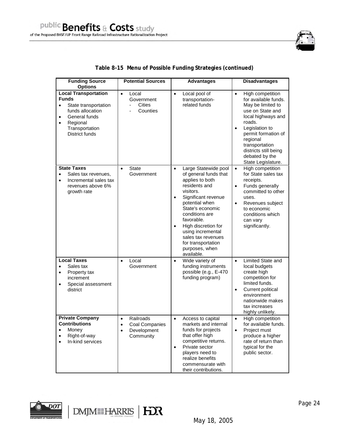| <b>Funding Source</b><br><b>Options</b>                                                                                                                                         | <b>Potential Sources</b>                                                                       | <b>Advantages</b>                                                                                                                                                                                                                                                                                                                                          | <b>Disadvantages</b>                                                                                                                                                                                                                                                                |
|---------------------------------------------------------------------------------------------------------------------------------------------------------------------------------|------------------------------------------------------------------------------------------------|------------------------------------------------------------------------------------------------------------------------------------------------------------------------------------------------------------------------------------------------------------------------------------------------------------------------------------------------------------|-------------------------------------------------------------------------------------------------------------------------------------------------------------------------------------------------------------------------------------------------------------------------------------|
| <b>Local Transportation</b><br><b>Funds</b><br>State transportation<br>$\bullet$<br>funds allocation<br>General funds<br>٠<br>Regional<br>٠<br>Transportation<br>District funds | $\bullet$<br>Local<br>Government<br><b>Cities</b><br>$\overline{a}$<br>Counties                | $\bullet$<br>Local pool of<br>transportation-<br>related funds                                                                                                                                                                                                                                                                                             | $\bullet$<br>High competition<br>for available funds.<br>May be limited to<br>use on State and<br>local highways and<br>roads.<br>Legislation to<br>$\bullet$<br>permit formation of<br>regional<br>transportation<br>districts still being<br>debated by the<br>State Legislature. |
| <b>State Taxes</b><br>Sales tax revenues,<br>$\bullet$<br>Incremental sales tax<br>$\bullet$<br>revenues above 6%<br>growth rate                                                | State<br>$\bullet$<br>Government                                                               | Large Statewide pool<br>$\bullet$<br>of general funds that<br>applies to both<br>residents and<br>visitors.<br>Significant revenue<br>$\bullet$<br>potential when<br>State's economic<br>conditions are<br>favorable.<br>High discretion for<br>$\bullet$<br>using incremental<br>sales tax revenues<br>for transportation<br>purposes, when<br>available. | High competition<br>$\bullet$<br>for State sales tax<br>receipts.<br>Funds generally<br>$\bullet$<br>committed to other<br>uses.<br>$\bullet$<br>Revenues subject<br>to economic<br>conditions which<br>can vary<br>significantly.                                                  |
| <b>Local Taxes</b><br>Sales tax<br>$\bullet$<br>Property tax<br>٠<br>increment<br>Special assessment<br>$\bullet$<br>district                                                   | Local<br>$\bullet$<br>Government                                                               | Wide variety of<br>$\bullet$<br>funding instruments<br>possible (e.g., E-470<br>funding program)                                                                                                                                                                                                                                                           | Limited State and<br>$\bullet$<br>local budgets<br>create high<br>competition for<br>limited funds.<br>Current political<br>$\bullet$<br>environment<br>nationwide makes<br>tax increases<br>highly unlikely.                                                                       |
| <b>Private Company</b><br><b>Contributions</b><br>Money<br>٠<br>Right-of-way<br>٠<br>In-kind services<br>$\bullet$                                                              | Railroads<br>$\bullet$<br>Coal Companies<br>$\bullet$<br>Development<br>$\bullet$<br>Community | Access to capital<br>$\bullet$<br>markets and internal<br>funds for projects<br>that offer high<br>competitive returns.<br>Private sector<br>$\bullet$<br>players need to<br>realize benefits<br>commensurate with<br>their contributions.                                                                                                                 | High competition<br>$\bullet$<br>for available funds.<br>Project must<br>$\bullet$<br>produce a higher<br>rate of return than<br>typical for the<br>public sector.                                                                                                                  |

# **Table 8-15 Menu of Possible Funding Strategies (continued)**

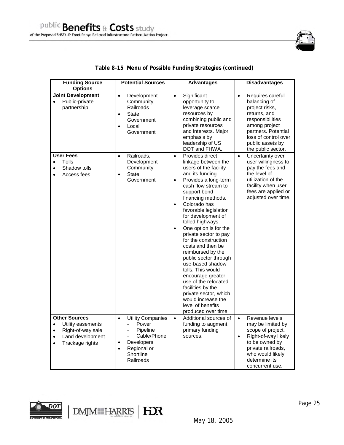

| <b>Funding Source</b><br><b>Options</b>                                                                                                                   | <b>Potential Sources</b>                                                                                                                                                     | <b>Advantages</b>                                                                                                                                                                                                                                                                                                                                                                                                                                                                                                                                                                                                                                                  | <b>Disadvantages</b>                                                                                                                                                                                          |
|-----------------------------------------------------------------------------------------------------------------------------------------------------------|------------------------------------------------------------------------------------------------------------------------------------------------------------------------------|--------------------------------------------------------------------------------------------------------------------------------------------------------------------------------------------------------------------------------------------------------------------------------------------------------------------------------------------------------------------------------------------------------------------------------------------------------------------------------------------------------------------------------------------------------------------------------------------------------------------------------------------------------------------|---------------------------------------------------------------------------------------------------------------------------------------------------------------------------------------------------------------|
| <b>Joint Development</b><br>Public-private<br>$\bullet$<br>partnership                                                                                    | Development<br>$\bullet$<br>Community,<br>Railroads<br><b>State</b><br>$\bullet$<br>Government<br>Local<br>$\bullet$<br>Government                                           | Significant<br>$\bullet$<br>opportunity to<br>leverage scarce<br>resources by<br>combining public and<br>private resources<br>and interests. Major<br>emphasis by<br>leadership of US<br>DOT and FHWA.                                                                                                                                                                                                                                                                                                                                                                                                                                                             | Requires careful<br>$\bullet$<br>balancing of<br>project risks,<br>returns, and<br>responsibilities<br>among project<br>partners. Potential<br>loss of control over<br>public assets by<br>the public sector. |
| <b>User Fees</b><br>Tolls<br>$\bullet$<br>Shadow tolls<br>$\bullet$<br>Access fees<br>$\bullet$                                                           | Railroads,<br>$\bullet$<br>Development<br>Community<br><b>State</b><br>$\bullet$<br>Government                                                                               | Provides direct<br>$\bullet$<br>linkage between the<br>users of the facility<br>and its funding.<br>Provides a long-term<br>$\bullet$<br>cash flow stream to<br>support bond<br>financing methods.<br>Colorado has<br>$\bullet$<br>favorable legislation<br>for development of<br>tolled highways.<br>One option is for the<br>$\bullet$<br>private sector to pay<br>for the construction<br>costs and then be<br>reimbursed by the<br>public sector through<br>use-based shadow<br>tolls. This would<br>encourage greater<br>use of the relocated<br>facilities by the<br>private sector, which<br>would increase the<br>level of benefits<br>produced over time. | Uncertainty over<br>$\bullet$<br>user willingness to<br>pay the fees and<br>the level of<br>utilization of the<br>facility when user<br>fees are applied or<br>adjusted over time.                            |
| <b>Other Sources</b><br>Utility easements<br>$\bullet$<br>Right-of-way sale<br>$\bullet$<br>Land development<br>$\bullet$<br>Trackage rights<br>$\bullet$ | <b>Utility Companies</b><br>$\bullet$<br>Power<br>$\blacksquare$<br>Pipeline<br>Cable/Phone<br>Developers<br>$\bullet$<br>Regional or<br>$\bullet$<br>Shortline<br>Railroads | Additional sources of<br>$\bullet$<br>funding to augment<br>primary funding<br>sources.                                                                                                                                                                                                                                                                                                                                                                                                                                                                                                                                                                            | Revenue levels<br>$\bullet$<br>may be limited by<br>scope of project.<br>Right-of-way likely<br>$\bullet$<br>to be owned by<br>private railroads,<br>who would likely<br>determine its<br>concurrent use.     |

# **Table 8-15 Menu of Possible Funding Strategies (continued)**

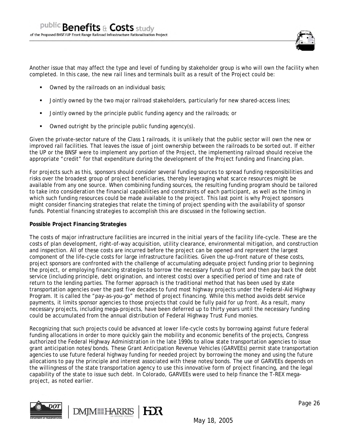

Another issue that may affect the type and level of funding by stakeholder group is who will own the facility when completed. In this case, the new rail lines and terminals built as a result of the Project could be:

- Owned by the railroads on an individual basis;
- Jointly owned by the two major railroad stakeholders, particularly for new shared-access lines;
- Jointly owned by the principle public funding agency and the railroads; or
- Owned outright by the principle public funding agency(s).

Given the private-sector nature of the Class 1 railroads, it is unlikely that the public sector will own the new or improved rail facilities. That leaves the issue of joint ownership between the railroads to be sorted out. If either the UP or the BNSF were to implement any portion of the Project, the implementing railroad should receive the appropriate "credit" for that expenditure during the development of the Project funding and financing plan.

For projects such as this, sponsors should consider several funding sources to spread funding responsibilities and risks over the broadest group of project beneficiaries, thereby leveraging what scarce resources might be available from any one source. When combining funding sources, the resulting funding program should be tailored to take into consideration the financial capabilities and constraints of each participant, as well as the timing in which such funding resources could be made available to the project. This last point is why Project sponsors might consider financing strategies that relate the timing of project spending with the availability of sponsor funds. Potential financing strategies to accomplish this are discussed in the following section.

## **Possible Project Financing Strategies**

The costs of major infrastructure facilities are incurred in the initial years of the facility life-cycle. These are the costs of plan development, right-of-way acquisition, utility clearance, environmental mitigation, and construction and inspection. All of these costs are incurred before the project can be opened and represent the largest component of the life-cycle costs for large infrastructure facilities. Given the up-front nature of these costs, project sponsors are confronted with the challenge of accumulating adequate project funding prior to beginning the project, or employing financing strategies to borrow the necessary funds up front and then pay back the debt service (including principle, debt origination, and interest costs) over a specified period of time and rate of return to the lending parties. The former approach is the traditional method that has been used by state transportation agencies over the past five decades to fund most highway projects under the Federal-Aid Highway Program. It is called the "pay-as-you-go" method of project financing. While this method avoids debt service payments, it limits sponsor agencies to those projects that could be fully paid for up front. As a result, many necessary projects, including mega-projects, have been deferred up to thirty years until the necessary funding could be accumulated from the annual distribution of Federal Highway Trust Fund monies.

Recognizing that such projects could be advanced at lower life-cycle costs by borrowing against future federal funding allocations in order to more quickly gain the mobility and economic benefits of the projects, Congress authorized the Federal Highway Administration in the late 1990s to allow state transportation agencies to issue grant anticipation notes/bonds. These Grant Anticipation Revenue Vehicles (GARVEEs) permit state transportation agencies to use future federal highway funding for needed project by borrowing the money and using the future allocations to pay the principle and interest associated with these notes/bonds. The use of GARVEEs depends on the willingness of the state transportation agency to use this innovative form of project financing, and the legal capability of the state to issue such debt. In Colorado, GARVEEs were used to help finance the T-REX megaproject, as noted earlier.





Page 26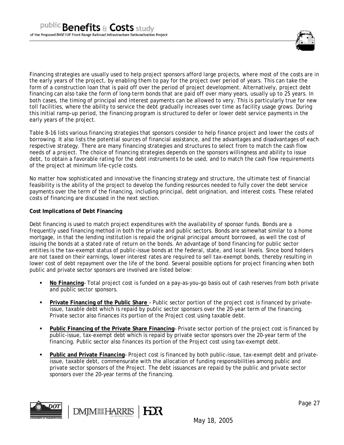

Financing strategies are usually used to help project sponsors afford large projects, where most of the costs are in the early years of the project, by enabling them to pay for the project over period of years. This can take the form of a construction loan that is paid off over the period of project development. Alternatively, project debt financing can also take the form of long-term bonds that are paid off over many years, usually up to 25 years. In both cases, the timing of principal and interest payments can be allowed to very. This is particularly true for new toll facilities, where the ability to service the debt gradually increases over time as facility usage grows. During this initial ramp-up period, the financing program is structured to defer or lower debt service payments in the early years of the project.

Table 8-16 lists various financing strategies that sponsors consider to help finance project and lower the costs of borrowing. It also lists the potential sources of financial assistance, and the advantages and disadvantages of each respective strategy. There are many financing strategies and structures to select from to match the cash flow needs of a project. The choice of financing strategies depends on the sponsors willingness and ability to issue debt, to obtain a favorable rating for the debt instruments to be used, and to match the cash flow requirements of the project at minimum life-cycle costs.

No matter how sophisticated and innovative the financing strategy and structure, the ultimate test of financial feasibility is the ability of the project to develop the funding resources needed to fully cover the debt service payments over the term of the financing, including principal, debt origination, and interest costs. These related costs of financing are discussed in the next section.

#### **Cost Implications of Debt Financing**

Debt financing is used to match project expenditures with the availability of sponsor funds. Bonds are a frequently used financing method in both the private and public sectors. Bonds are somewhat similar to a home mortgage, in that the lending institution is repaid the original principal amount borrowed, as well the cost of issuing the bonds at a stated rate of return on the bonds. An advantage of bond financing for public sector entities is the tax-exempt status of public-issue bonds at the federal, state, and local levels. Since bond holders are not taxed on their earnings, lower interest rates are required to sell tax-exempt bonds, thereby resulting in lower cost of debt repayment over the life of the bond. Several possible options for project financing when both public and private sector sponsors are involved are listed below:

- **No Financing** Total project cost is funded on a pay-as-you-go basis out of cash reserves from both private and public sector sponsors.
- **Private Financing of the Public Share** Public sector portion of the project cost is financed by privateissue, taxable debt which is repaid by public sector sponsors over the 20-year term of the financing. Private sector also finances its portion of the Project cost using taxable debt.
- **Public Financing of the Private Share Financing** Private sector portion of the project cost is financed by public-issue, tax-exempt debt which is repaid by private sector sponsors over the 20-year term of the financing. Public sector also finances its portion of the Project cost using tax-exempt debt.
- **Public and Private Financing** Project cost is financed by both public-issue, tax-exempt debt and privateissue, taxable debt, commensurate with the allocation of funding responsibilities among public and private sector sponsors of the Project. The debt issuances are repaid by the public and private sector sponsors over the 20-year terms of the financing.

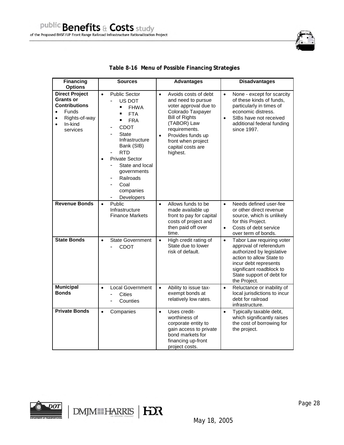| <b>Financing</b><br><b>Options</b>                                                                                                                               | <b>Sources</b>                                                                                                                                                                                                                                                                            | <b>Advantages</b>                                                                                                                                                                                                                                       | <b>Disadvantages</b>                                                                                                                                                                                                        |
|------------------------------------------------------------------------------------------------------------------------------------------------------------------|-------------------------------------------------------------------------------------------------------------------------------------------------------------------------------------------------------------------------------------------------------------------------------------------|---------------------------------------------------------------------------------------------------------------------------------------------------------------------------------------------------------------------------------------------------------|-----------------------------------------------------------------------------------------------------------------------------------------------------------------------------------------------------------------------------|
| <b>Direct Project</b><br><b>Grants or</b><br><b>Contributions</b><br><b>Funds</b><br>$\bullet$<br>Rights-of-way<br>$\bullet$<br>In-kind<br>$\bullet$<br>services | <b>Public Sector</b><br>$\bullet$<br>US DOT<br><b>FHWA</b><br><b>FTA</b><br><b>FRA</b><br><b>CDOT</b><br><b>State</b><br>Infrastructure<br>Bank (SIB)<br><b>RTD</b><br>Private Sector<br>$\bullet$<br>State and local<br>governments<br>Railroads<br>Coal<br>companies<br>Developers<br>- | Avoids costs of debt<br>$\bullet$<br>and need to pursue<br>voter approval due to<br>Colorado Taxpayer<br><b>Bill of Rights</b><br>(TABOR) Law<br>requirements.<br>Provides funds up<br>$\bullet$<br>front when project<br>capital costs are<br>highest. | None - except for scarcity<br>$\bullet$<br>of these kinds of funds,<br>particularly in times of<br>economic distress.<br>SIBs have not received<br>$\bullet$<br>additional federal funding<br>since 1997.                   |
| <b>Revenue Bonds</b>                                                                                                                                             | Public<br>$\bullet$<br>Infrastructure<br><b>Finance Markets</b>                                                                                                                                                                                                                           | Allows funds to be<br>$\bullet$<br>made available up<br>front to pay for capital<br>costs of project and<br>then paid off over<br>time.                                                                                                                 | Needs defined user-fee<br>$\bullet$<br>or other direct revenue<br>source, which is unlikely<br>for this Project.<br>Costs of debt service<br>$\bullet$<br>over term of bonds.                                               |
| <b>State Bonds</b>                                                                                                                                               | <b>State Government</b><br>$\bullet$<br><b>CDOT</b>                                                                                                                                                                                                                                       | High credit rating of<br>$\bullet$<br>State due to lower<br>risk of default.                                                                                                                                                                            | Tabor Law requiring voter<br>$\bullet$<br>approval of referendum<br>authorized by legislative<br>action to allow State to<br>incur debt represents<br>significant roadblock to<br>State support of debt for<br>the Project. |
| <b>Municipal</b><br>Bonds                                                                                                                                        | <b>Local Government</b><br>$\bullet$<br><b>Cities</b><br>Counties                                                                                                                                                                                                                         | Ability to issue tax-<br>$\bullet$<br>exempt bonds at<br>relatively low rates.                                                                                                                                                                          | Reluctance or inability of<br>$\bullet$<br>local jurisdictions to incur<br>debt for railroad<br>infrastructure.                                                                                                             |
| <b>Private Bonds</b>                                                                                                                                             | Companies<br>$\bullet$                                                                                                                                                                                                                                                                    | Uses credit-<br>$\bullet$<br>worthiness of<br>corporate entity to<br>gain access to private<br>bond markets for<br>financing up-front<br>project costs.                                                                                                 | Typically taxable debt,<br>$\bullet$<br>which significantly raises<br>the cost of borrowing for<br>the project.                                                                                                             |

## **Table 8-16 Menu of Possible Financing Strategies**

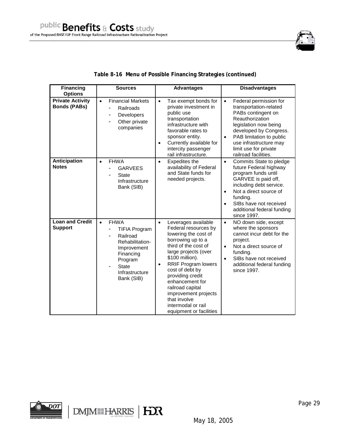

| <b>Financing</b><br><b>Options</b>             | <b>Sources</b>                                                                                                                                                         | <b>Advantages</b>                                                                                                                                                                                                                                                                                                                                                                          | <b>Disadvantages</b>                                                                                                                                                                                                                                                           |
|------------------------------------------------|------------------------------------------------------------------------------------------------------------------------------------------------------------------------|--------------------------------------------------------------------------------------------------------------------------------------------------------------------------------------------------------------------------------------------------------------------------------------------------------------------------------------------------------------------------------------------|--------------------------------------------------------------------------------------------------------------------------------------------------------------------------------------------------------------------------------------------------------------------------------|
| <b>Private Activity</b><br><b>Bonds (PABs)</b> | <b>Financial Markets</b><br>$\bullet$<br>Railroads<br><b>Developers</b><br>-<br>Other private<br>companies                                                             | Tax exempt bonds for<br>$\bullet$<br>private investment in<br>public use<br>transportation<br>infrastructure with<br>favorable rates to<br>sponsor entity.<br>Currently available for<br>$\bullet$<br>intercity passenger<br>rail infrastructure.                                                                                                                                          | Federal permission for<br>$\bullet$<br>transportation-related<br>PABs contingent on<br>Reauthorization<br>legislation now being<br>developed by Congress.<br>PAB limitation to public<br>$\bullet$<br>use infrastructure may<br>limit use for private<br>railroad facilities.  |
| Anticipation<br><b>Notes</b>                   | <b>FHWA</b><br>$\bullet$<br><b>GARVEES</b><br><b>State</b><br>Infrastructure<br>Bank (SIB)                                                                             | Expedites the<br>$\bullet$<br>availability of Federal<br>and State funds for<br>needed projects.                                                                                                                                                                                                                                                                                           | Commits State to pledge<br>$\bullet$<br>future Federal highway<br>program funds until<br>GARVEE is paid off,<br>including debt service.<br>Not a direct source of<br>$\bullet$<br>funding.<br>SIBs have not received<br>$\bullet$<br>additional federal funding<br>since 1997. |
| <b>Loan and Credit</b><br><b>Support</b>       | <b>FHWA</b><br>$\bullet$<br><b>TIFIA Program</b><br>Railroad<br>Rehabilitation-<br>Improvement<br>Financing<br>Program<br><b>State</b><br>Infrastructure<br>Bank (SIB) | Leverages available<br>$\bullet$<br>Federal resources by<br>lowering the cost of<br>borrowing up to a<br>third of the cost of<br>large projects (over<br>\$100 million).<br><b>RRIF Program lowers</b><br>$\bullet$<br>cost of debt by<br>providing credit<br>enhancement for<br>railroad capital<br>improvement projects<br>that involve<br>intermodal or rail<br>equipment or facilities | NO down side, except<br>$\bullet$<br>where the sponsors<br>cannot incur debt for the<br>project.<br>Not a direct source of<br>$\bullet$<br>fundina.<br>SIBs have not received<br>$\bullet$<br>additional federal funding<br>since 1997.                                        |

# **Table 8-16 Menu of Possible Financing Strategies (continued)**

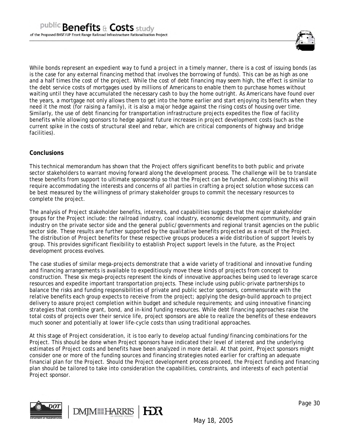

While bonds represent an expedient way to fund a project in a timely manner, there is a cost of issuing bonds (as is the case for any external financing method that involves the borrowing of funds). This can be as high as one and a half times the cost of the project. While the cost of debt financing may seem high, the effect is similar to the debt service costs of mortgages used by millions of Americans to enable them to purchase homes without waiting until they have accumulated the necessary cash to buy the home outright. As Americans have found over the years, a mortgage not only allows them to get into the home earlier and start enjoying its benefits when they need it the most (for raising a family), it is also a major hedge against the rising costs of housing over time. Similarly, the use of debt financing for transportation infrastructure projects expedites the flow of facility benefits while allowing sponsors to hedge against future increases in project development costs (such as the current spike in the costs of structural steel and rebar, which are critical components of highway and bridge facilities).

# **Conclusions**

This technical memorandum has shown that the Project offers significant benefits to both public and private sector stakeholders to warrant moving forward along the development process. The challenge will be to translate these benefits from support to ultimate sponsorship so that the Project can be funded. Accomplishing this will require accommodating the interests and concerns of all parties in crafting a project solution whose success can be best measured by the willingness of primary stakeholder groups to commit the necessary resources to complete the project.

The analysis of Project stakeholder benefits, interests, and capabilities suggests that the major stakeholder groups for the Project include: the railroad industry, coal industry, economic development community, and grain industry on the private sector side and the general public/governments and regional transit agencies on the public sector side. These results are further supported by the qualitative benefits projected as a result of the Project. The distribution of Project benefits for these respective groups produces a wide distribution of support levels by group. This provides significant flexibility to establish Project support levels in the future, as the Project development process evolves.

The case studies of similar mega-projects demonstrate that a wide variety of traditional and innovative funding and financing arrangements is available to expeditiously move these kinds of projects from concept to construction. These six mega-projects represent the kinds of innovative approaches being used to leverage scarce resources and expedite important transportation projects. These include using public-private partnerships to balance the risks and funding responsibilities of private and public sector sponsors, commensurate with the relative benefits each group expects to receive from the project; applying the design-build approach to project delivery to assure project completion within budget and schedule requirements; and using innovative financing strategies that combine grant, bond, and in-kind funding resources. While debt financing approaches raise the total costs of projects over their service life, project sponsors are able to realize the benefits of these endeavors much sooner and potentially at lower life-cycle costs than using traditional approaches.

At this stage of Project consideration, it is too early to develop actual funding/financing combinations for the Project. This should be done when Project sponsors have indicated their level of interest and the underlying estimates of Project costs and benefits have been analyzed in more detail. At that point, Project sponsors might consider one or more of the funding sources and financing strategies noted earlier for crafting an adequate financial plan for the Project. Should the Project development process proceed, the Project funding and financing plan should be tailored to take into consideration the capabilities, constraints, and interests of each potential Project sponsor.

HX



**DMM HARRIS**